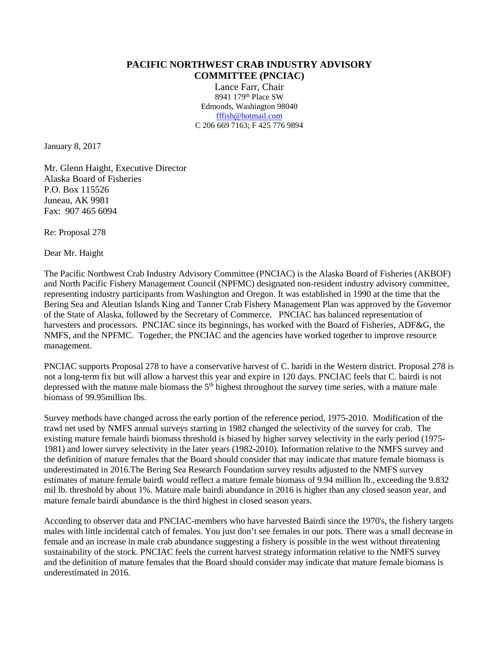## **PACIFIC NORTHWEST CRAB INDUSTRY ADVISORY COMMITTEE (PNCIAC)**

Lance Farr, Chair 8941 179th Place SW Edmonds, Washington 98040 [fffish@hotmail.com](mailto:fffish@hotmail.com) C 206 669 7163; F 425 776 9894

January 8, 2017

Mr. Glenn Haight, Executive Director Alaska Board of Fisheries P.O. Box 115526 Juneau, AK 9981 Fax: 907 465 6094

Re: Proposal 278

Dear Mr. Haight

The Pacific Northwest Crab Industry Advisory Committee (PNCIAC) is the Alaska Board of Fisheries (AKBOF) and North Pacific Fishery Management Council (NPFMC) designated non-resident industry advisory committee, representing industry participants from Washington and Oregon. It was established in 1990 at the time that the Bering Sea and Aleutian Islands King and Tanner Crab Fishery Management Plan was approved by the Governor of the State of Alaska, followed by the Secretary of Commerce. PNCIAC has balanced representation of harvesters and processors. PNCIAC since its beginnings, has worked with the Board of Fisheries, ADF&G, the NMFS, and the NPFMC. Together, the PNCIAC and the agencies have worked together to improve resource management.

PNCIAC supports Proposal 278 to have a conservative harvest of C. baridi in the Western district. Proposal 278 is not a long-term fix but will allow a harvest this year and expire in 120 days. PNCIAC feels that C. bairdi is not depressed with the mature male biomass the  $5<sup>th</sup>$  highest throughout the survey time series, with a mature male biomass of 99.95million lbs.

Survey methods have changed across the early portion of the reference period, 1975-2010. Modification of the trawl net used by NMFS annual surveys starting in 1982 changed the selectivity of the survey for crab. The existing mature female bairdi biomass threshold is biased by higher survey selectivity in the early period (1975- 1981) and lower survey selectivity in the later years (1982-2010). Information relative to the NMFS survey and the definition of mature females that the Board should consider that may indicate that mature female biomass is underestimated in 2016.The Bering Sea Research Foundation survey results adjusted to the NMFS survey estimates of mature female bairdi would reflect a mature female biomass of 9.94 million lb., exceeding the 9.832 mil lb. threshold by about 1%. Mature male bairdi abundance in 2016 is higher than any closed season year, and mature female bairdi abundance is the third highest in closed season years.

According to observer data and PNCIAC-members who have harvested Bairdi since the 1970's, the fishery targets males with little incidental catch of females. You just don't see females in our pots. There was a small decrease in female and an increase in male crab abundance suggesting a fishery is possible in the west without threatening sustainability of the stock. PNCIAC feels the current harvest strategy information relative to the NMFS survey and the definition of mature females that the Board should consider may indicate that mature female biomass is underestimated in 2016.